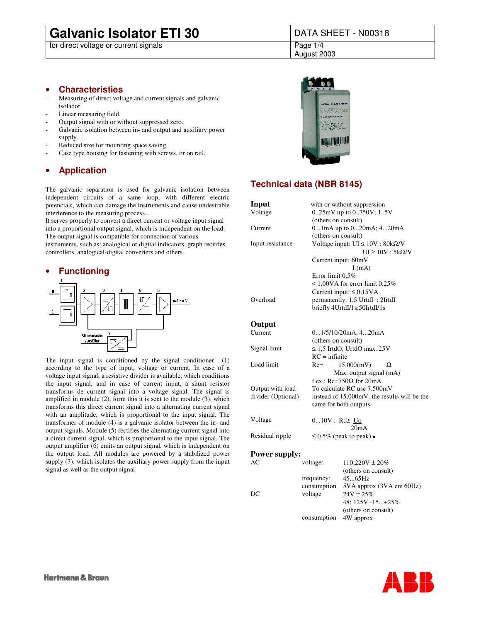# **Galvanic Isolator ETI 30** DATA SHEET - N00318

for direct voltage or current signals **Page 1/4** Page 1/4

August 2003

### • **Characteristies**

- Measuring of direct voltage and current signals and galvanic isolador.
- Linear measuring field.
- Output signal with or without suppressed zero.
- Galvanic isolation between in- and output and auxiliary power supply.
- Reduced size for mounting space saving.
- Case type housing for fastening with screws, or on rail.

# • **Application**

The galvanic separation is used for galvanic isolation between independent circuits of a same loop, with different electric potencials, which can damage the instruments and cause undesirable interference to the measuring process..

It serves properly to convert a direct current or voltage input signal into a proportional output signal, which is independent on the load. The output signal is compatible for connection of various instruments, such as: analogical or digital indicators, graph recirdes, controllers, analogical-digital converters and others.



The input signal is conditioned by the signal conditioner (1) according to the type of input, voltage or current. In case of a voltage input signal, a resistive divider is available, which conditions the input signal, and in case of current input, a shunt resistor transforms de current signal into a voltage signal. The signal is amplified in module (2), form this it is sent to the module (3), which transforms this direct current signal into a alternating current signal with an amplitude, which is proportional to the input signal. The transformer of module (4) is a galvanic isolator between the in- and output signals. Module (5) rectifies the alternating current signal into a direct current signal, which is proportional to the input signal. The output amplifier (6) emits an output signal, which is independent on the output load. All modules are powered by a stabilized power supply  $(7)$ , which isolates the auxiliary power supply from the input signal as well as the output signal



# **Technical data (NBR 8145)**

| Input                |                                 | with or without suppression                  |  |  |  |  |  |
|----------------------|---------------------------------|----------------------------------------------|--|--|--|--|--|
| Voltage              |                                 | $0.25$ mV up to $0.750V$ ; 15V               |  |  |  |  |  |
|                      |                                 | (others on consult)                          |  |  |  |  |  |
| Current              |                                 | $01$ mA up to $020$ mA; $420$ mA             |  |  |  |  |  |
|                      |                                 | (others on consult)                          |  |  |  |  |  |
| Input resistance     |                                 | Voltage input: $UI \le 10V : 80k\Omega/V$    |  |  |  |  |  |
|                      |                                 | $UI \ge 10V$ : 5k $\Omega/V$                 |  |  |  |  |  |
|                      |                                 | Current input: 60mV                          |  |  |  |  |  |
|                      |                                 | I(mA)                                        |  |  |  |  |  |
|                      |                                 | Error limit 0,5%                             |  |  |  |  |  |
|                      |                                 | $\leq 1,00\,\text{VA}$ for error limit 0,25% |  |  |  |  |  |
|                      |                                 | Current input: $\leq 0.15VA$                 |  |  |  |  |  |
| Overload             |                                 | permanently: 1,5 UrtdI ; 2IrtdI              |  |  |  |  |  |
|                      |                                 | briefly 4UrtdI/1s;50IrtdI/1s                 |  |  |  |  |  |
|                      |                                 |                                              |  |  |  |  |  |
| Output               |                                 |                                              |  |  |  |  |  |
| Current              |                                 | 01/5/10/20mA, 420mA                          |  |  |  |  |  |
|                      |                                 | (others on consult)                          |  |  |  |  |  |
| Signal limit         |                                 | $\leq$ 1,5 IrtdO, UrtdO max. 25V             |  |  |  |  |  |
|                      |                                 | $RC = infinite$                              |  |  |  |  |  |
| Load limit           | $Rc=$<br>15.000(mV)<br>$\Omega$ |                                              |  |  |  |  |  |
|                      |                                 | Max. output signal (mA)                      |  |  |  |  |  |
|                      |                                 | f.ex.: $Rc=750\Omega$ for 20mA               |  |  |  |  |  |
| Output with load     | To calculate RC use 7.500mV     |                                              |  |  |  |  |  |
| divider (Optional)   |                                 | instead of 15.000mV, the results will be the |  |  |  |  |  |
|                      |                                 | same for both outputs                        |  |  |  |  |  |
|                      |                                 |                                              |  |  |  |  |  |
| Voltage              |                                 | $010V$ ; Rc $\geq U_0$                       |  |  |  |  |  |
|                      |                                 | 20mA                                         |  |  |  |  |  |
| Residual ripple      |                                 | $\leq 0.5\%$ (peak to peak)                  |  |  |  |  |  |
|                      |                                 |                                              |  |  |  |  |  |
| <b>Power supply:</b> |                                 |                                              |  |  |  |  |  |
| АC                   | voltage:                        | $110;220V \pm 20\%$                          |  |  |  |  |  |
|                      |                                 | (others on consult)                          |  |  |  |  |  |
|                      | frequency:                      | 4565Hz                                       |  |  |  |  |  |
|                      | consumption                     | 5VA approx (3VA em 60Hz)                     |  |  |  |  |  |
| DC                   | voltage                         | $24V \pm 25%$                                |  |  |  |  |  |
|                      |                                 | 48; 125V -15+25%                             |  |  |  |  |  |
|                      |                                 | (others on consult)                          |  |  |  |  |  |

consumption 4W approx

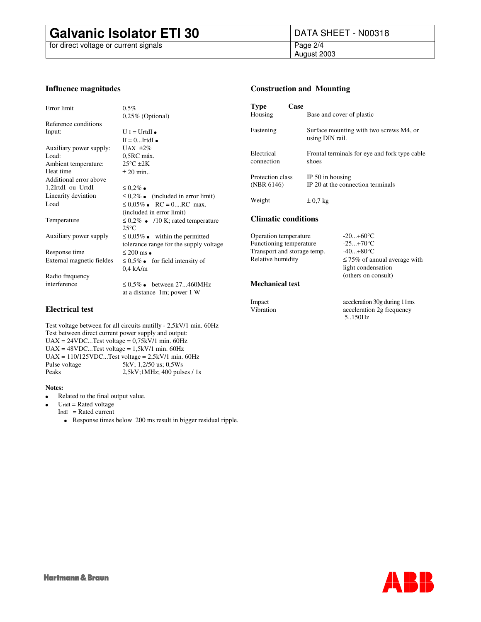# **Galvanic Isolator ETI 30** DATA SHEET - N00318<br>for direct voltage or current signals<br>Page 2/4

for direct voltage or current signals

August 2003

### **Influence magnitudes**

| Error limit               | $0.5\%$                                |  |  |  |  |  |  |
|---------------------------|----------------------------------------|--|--|--|--|--|--|
|                           | $0,25\%$ (Optional)                    |  |  |  |  |  |  |
| Reference conditions      |                                        |  |  |  |  |  |  |
| Input:                    | $U I = UrtdI$                          |  |  |  |  |  |  |
|                           | $II = 0$ $I$ rtd $I$                   |  |  |  |  |  |  |
| Auxiliary power supply:   | UAX $\pm 2\%$                          |  |  |  |  |  |  |
| Load:                     | 0,5RC máx.                             |  |  |  |  |  |  |
| Ambient temperature:      | $25^{\circ}$ C $\pm 2K$                |  |  |  |  |  |  |
| Heat time                 | $\pm 20$ min                           |  |  |  |  |  |  |
| Additional error above    |                                        |  |  |  |  |  |  |
| 1,2IrtdI ou UrtdI         | $\leq 0.2\%$                           |  |  |  |  |  |  |
| Linearity deviation       | $\leq 0.2\%$ (included in error limit) |  |  |  |  |  |  |
| Load                      | $\leq 0.05\%$ RC = 0RC max.            |  |  |  |  |  |  |
|                           | (included in error limit)              |  |  |  |  |  |  |
| Temperature               | $\leq 0.2\%$ /10 K; rated temperature  |  |  |  |  |  |  |
|                           | $25^{\circ}$ C                         |  |  |  |  |  |  |
| Auxiliary power supply    | $\leq 0.05\%$ within the permitted     |  |  |  |  |  |  |
|                           | tolerance range for the supply voltage |  |  |  |  |  |  |
| Response time             | $\leq 200$ ms                          |  |  |  |  |  |  |
| External magnetic fieldes | $\leq 0.5\%$<br>for field intensity of |  |  |  |  |  |  |
|                           | $0.4$ kA/m                             |  |  |  |  |  |  |
| Radio frequency           |                                        |  |  |  |  |  |  |
| interference              | $\leq 0.5\%$ between 27460MHz          |  |  |  |  |  |  |
|                           | at a distance 1m; power 1 W            |  |  |  |  |  |  |
|                           |                                        |  |  |  |  |  |  |

### **Electrical test**

Test voltage between for all circuits mutilly - 2,5kV/1 min. 60Hz Test between direct current power supply and output:  $UAX = 24VDC...Test$  voltage =  $0,75kV/1$  min. 60Hz  $UAX = 48VDC...Test$  voltage =  $1,5kV/1$  min. 60Hz UAX =  $110/125$ VDC...Test voltage =  $2,5kV/1$  min. 60Hz Pulse voltage 5kV; 1,2/50 us; 0,5Ws<br>Peaks 2,5kV; 1MHz; 400 puls 2,5kV;1MHz; 400 pulses / 1s

### **Notes:**

 Related to the final output value.  $U<sub>rtdI</sub>$  = Rated voltage

 $I_{rtdI}$  = Rated current

Response times below 200 ms result in bigger residual ripple.

### **Construction and Mounting**

| Type<br>Housing                | Case              |                                                            |                                      |  |  |  |  |  |
|--------------------------------|-------------------|------------------------------------------------------------|--------------------------------------|--|--|--|--|--|
|                                |                   | Base and cover of plastic                                  |                                      |  |  |  |  |  |
| Fastening                      |                   | Surface mounting with two screws M4, or<br>using DIN rail. |                                      |  |  |  |  |  |
| Electrical<br>connection       |                   | Frontal terminals for eye and fork type cable<br>shoes     |                                      |  |  |  |  |  |
| Protection class<br>(NBR 6146) |                   | IP 50 in housing<br>IP 20 at the connection terminals      |                                      |  |  |  |  |  |
| Weight                         |                   | $\pm 0.7$ kg                                               |                                      |  |  |  |  |  |
| <b>Climatic conditions</b>     |                   |                                                            |                                      |  |  |  |  |  |
| Operation temperature          |                   |                                                            | $-20+60$ °C                          |  |  |  |  |  |
| Functioning temperature        |                   |                                                            | $-25+70$ °C                          |  |  |  |  |  |
| Transport and storage temp.    |                   |                                                            | $-40+80$ °C                          |  |  |  |  |  |
|                                | Relative humidity |                                                            | $\leq$ 75% of annual average with    |  |  |  |  |  |
|                                |                   | light condensation                                         |                                      |  |  |  |  |  |
|                                |                   | (others on consult)                                        |                                      |  |  |  |  |  |
| <b>Mechanical test</b>         |                   |                                                            |                                      |  |  |  |  |  |
| Impact                         |                   |                                                            | acceleration 30g during 11ms         |  |  |  |  |  |
| Vibration                      |                   |                                                            | acceleration 2g frequency<br>5.150Hz |  |  |  |  |  |

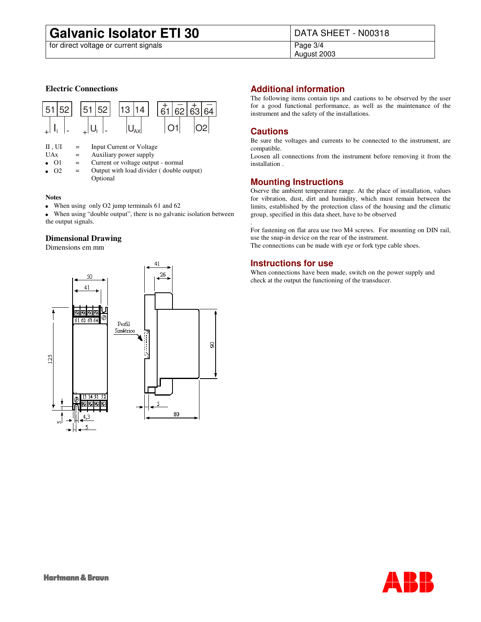# **Galvanic Isolator ETI 30** DATA SHEET - N00318<br>for direct voltage or current signals<br>Page 3/4

for direct voltage or current signals

August 2003

### **Electric Connections**



| $II$ , $UI$    | $=$ | Input Current or Voltage                             |
|----------------|-----|------------------------------------------------------|
| <b>UAx</b>     | $=$ | Auxiliary power supply                               |
| O <sub>1</sub> | $=$ | Current or voltage output - normal                   |
| O <sub>2</sub> | $=$ | Output with load divider (double output)<br>Optional |

### **Notes**

When using only O2 jump terminals 61 and 62

 When using "double output", there is no galvanic isolation between the output signals.

### **Dimensional Drawing**

Dimensions em mm



# **Additional information**

The following items contain tips and cautions to be observed by the user for a good functional performance, as well as the maintenance of the instrument and the safety of the installations.

## **Cautions**

Be sure the voltages and currents to be connected to the instrument, are compatible.

Loosen all connections from the instrument before removing it from the installation .

## **Mounting Instructions**

Oserve the ambient temperature range. At the place of installation, values for vibration, dust, dirt and humidity, which must remain between the limits, established by the protection class of the housing and the climatic group, specified in this data sheet, have to be observed

. For fastening on flat area use two M4 screws. For mounting on DIN rail, use the snap-in device on the rear of the instrument. The connections can be made with eye or fork type cable shoes.

## **Instructions for use**

When connections have been made, switch on the power supply and check at the output the functioning of the transducer.